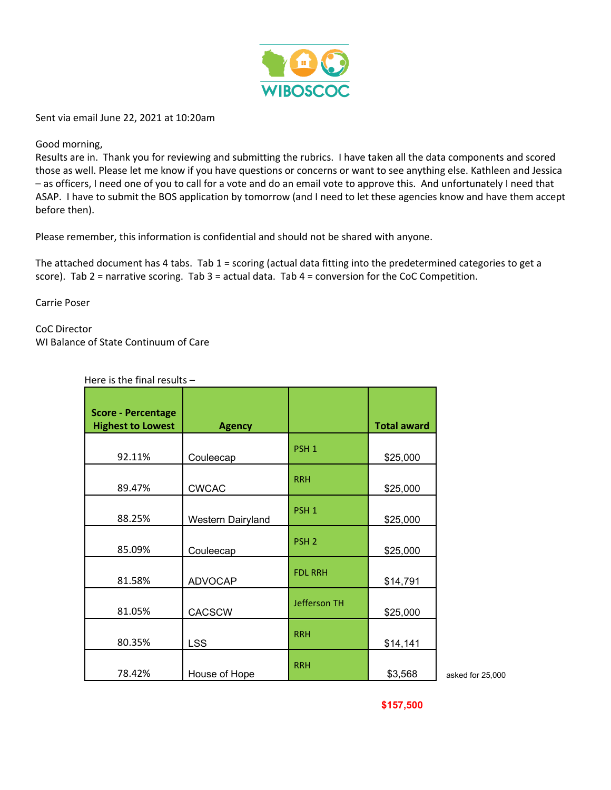

Sent via email June 22, 2021 at 10:20am

## Good morning,

Results are in. Thank you for reviewing and submitting the rubrics. I have taken all the data components and scored those as well. Please let me know if you have questions or concerns or want to see anything else. Kathleen and Jessica – as officers, I need one of you to call for a vote and do an email vote to approve this. And unfortunately I need that ASAP. I have to submit the BOS application by tomorrow (and I need to let these agencies know and have them accept before then).

[Please remember, thi](mailto:mikeb@advocap.org)s information is confidential and should not be shared with anyone.

The attached document has 4 tabs. Tab 1 = scoring (actual data fitting into the predetermined categories to get a score). Tab  $2$  = narrative scoring. Tab  $3$  = actual data. Tab  $4$  = conversion for the CoC Competition.

Carrie Poser

CoC Director WI Balance of State Continuum of Care

Here is the final results –

| <b>Score - Percentage</b><br><b>Highest to Lowest</b> | <b>Agency</b>     |                     | <b>Total award</b> |
|-------------------------------------------------------|-------------------|---------------------|--------------------|
| 92.11%                                                | Couleecap         | PSH <sub>1</sub>    | \$25,000           |
| 89.47%                                                | <b>CWCAC</b>      | <b>RRH</b>          | \$25,000           |
| 88.25%                                                | Western Dairyland | PSH <sub>1</sub>    | \$25,000           |
| 85.09%                                                | Couleecap         | PSH <sub>2</sub>    | \$25,000           |
| 81.58%                                                | <b>ADVOCAP</b>    | <b>FDL RRH</b>      | \$14,791           |
| 81.05%                                                | <b>CACSCW</b>     | <b>Jefferson TH</b> | \$25,000           |
| 80.35%                                                | <b>LSS</b>        | <b>RRH</b>          | \$14,141           |
| 78.42%                                                | House of Hope     | <b>RRH</b>          | \$3,568            |

asked for 25,000

**\$157,500**